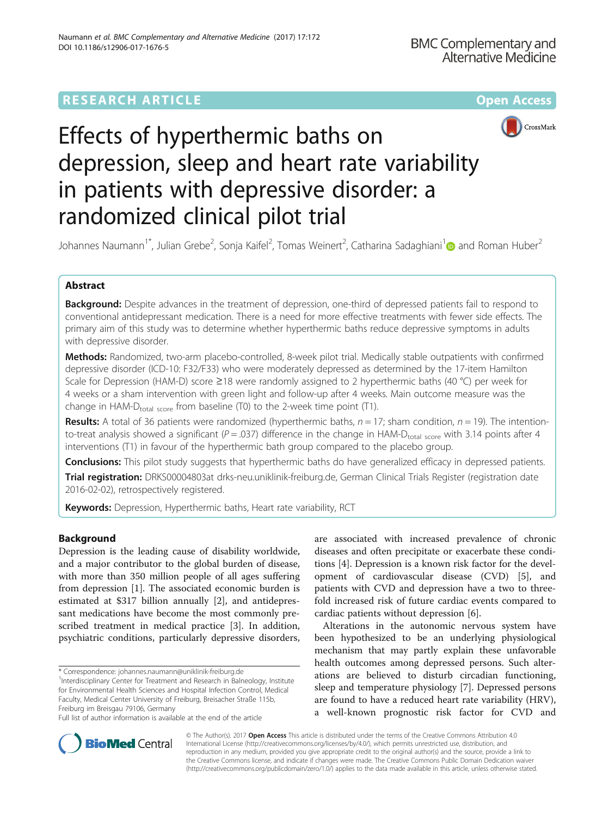# **RESEARCH ARTICLE Example 2014 12:30 The Contract of Contract ACCESS**





# Effects of hyperthermic baths on depression, sleep and heart rate variability in patients with depressive disorder: a randomized clinical pilot trial

Johannes Naumann<sup>[1](http://orcid.org/0000-0003-1088-9643)\*</sup>, Julian Grebe<sup>2</sup>, Sonja Kaifel<sup>2</sup>, Tomas Weinert<sup>2</sup>, Catharina Sadaghiani<sup>1</sup>@ and Roman Huber<sup>2</sup>

# Abstract

Background: Despite advances in the treatment of depression, one-third of depressed patients fail to respond to conventional antidepressant medication. There is a need for more effective treatments with fewer side effects. The primary aim of this study was to determine whether hyperthermic baths reduce depressive symptoms in adults with depressive disorder.

Methods: Randomized, two-arm placebo-controlled, 8-week pilot trial. Medically stable outpatients with confirmed depressive disorder (ICD-10: F32/F33) who were moderately depressed as determined by the 17-item Hamilton Scale for Depression (HAM-D) score ≥18 were randomly assigned to 2 hyperthermic baths (40 °C) per week for 4 weeks or a sham intervention with green light and follow-up after 4 weeks. Main outcome measure was the change in HAM- $D_{total\ score}$  from baseline (T0) to the 2-week time point (T1).

Results: A total of 36 patients were randomized (hyperthermic baths,  $n = 17$ ; sham condition,  $n = 19$ ). The intentionto-treat analysis showed a significant ( $P = .037$ ) difference in the change in HAM-D<sub>total score</sub> with 3.14 points after 4 interventions (T1) in favour of the hyperthermic bath group compared to the placebo group.

**Conclusions:** This pilot study suggests that hyperthermic baths do have generalized efficacy in depressed patients.

Trial registration: [DRKS00004803a](https://drks-neu.uniklinik-freiburg.de/drks_web/navigate.do?navigationId=trial.HTML&TRIAL_ID=DRKS00004803)t drks-neu.uniklinik-freiburg.de, German Clinical Trials Register (registration date 2016-02-02), retrospectively registered.

Keywords: Depression, Hyperthermic baths, Heart rate variability, RCT

# Background

Depression is the leading cause of disability worldwide, and a major contributor to the global burden of disease, with more than 350 million people of all ages suffering from depression [\[1](#page-7-0)]. The associated economic burden is estimated at \$317 billion annually [\[2\]](#page-7-0), and antidepressant medications have become the most commonly prescribed treatment in medical practice [[3\]](#page-7-0). In addition, psychiatric conditions, particularly depressive disorders,

\* Correspondence: [johannes.naumann@uniklinik-freiburg.de](mailto:johannes.naumann@uniklinik-freiburg.de) <sup>1</sup>

<sup>1</sup>Interdisciplinary Center for Treatment and Research in Balneology, Institute for Environmental Health Sciences and Hospital Infection Control, Medical Faculty, Medical Center University of Freiburg, Breisacher Straße 115b, Freiburg im Breisgau 79106, Germany

Full list of author information is available at the end of the article

are associated with increased prevalence of chronic diseases and often precipitate or exacerbate these conditions [[4\]](#page-7-0). Depression is a known risk factor for the development of cardiovascular disease (CVD) [[5\]](#page-7-0), and patients with CVD and depression have a two to threefold increased risk of future cardiac events compared to cardiac patients without depression [[6\]](#page-7-0).

Alterations in the autonomic nervous system have been hypothesized to be an underlying physiological mechanism that may partly explain these unfavorable health outcomes among depressed persons. Such alterations are believed to disturb circadian functioning, sleep and temperature physiology [[7\]](#page-7-0). Depressed persons are found to have a reduced heart rate variability (HRV), a well-known prognostic risk factor for CVD and



© The Author(s). 2017 **Open Access** This article is distributed under the terms of the Creative Commons Attribution 4.0 International License [\(http://creativecommons.org/licenses/by/4.0/](http://creativecommons.org/licenses/by/4.0/)), which permits unrestricted use, distribution, and reproduction in any medium, provided you give appropriate credit to the original author(s) and the source, provide a link to the Creative Commons license, and indicate if changes were made. The Creative Commons Public Domain Dedication waiver [\(http://creativecommons.org/publicdomain/zero/1.0/](http://creativecommons.org/publicdomain/zero/1.0/)) applies to the data made available in this article, unless otherwise stated.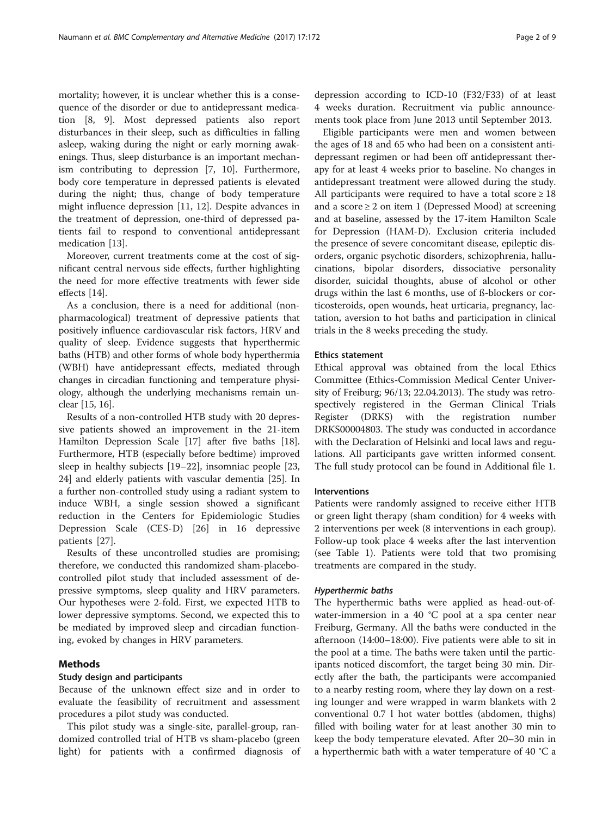mortality; however, it is unclear whether this is a consequence of the disorder or due to antidepressant medication [\[8, 9\]](#page-7-0). Most depressed patients also report disturbances in their sleep, such as difficulties in falling asleep, waking during the night or early morning awakenings. Thus, sleep disturbance is an important mechanism contributing to depression [[7, 10\]](#page-7-0). Furthermore, body core temperature in depressed patients is elevated during the night; thus, change of body temperature might influence depression [[11, 12\]](#page-7-0). Despite advances in the treatment of depression, one-third of depressed patients fail to respond to conventional antidepressant medication [\[13](#page-7-0)].

Moreover, current treatments come at the cost of significant central nervous side effects, further highlighting the need for more effective treatments with fewer side effects [[14\]](#page-7-0).

As a conclusion, there is a need for additional (nonpharmacological) treatment of depressive patients that positively influence cardiovascular risk factors, HRV and quality of sleep. Evidence suggests that hyperthermic baths (HTB) and other forms of whole body hyperthermia (WBH) have antidepressant effects, mediated through changes in circadian functioning and temperature physiology, although the underlying mechanisms remain unclear [\[15](#page-7-0), [16](#page-7-0)].

Results of a non-controlled HTB study with 20 depressive patients showed an improvement in the 21-item Hamilton Depression Scale [\[17\]](#page-7-0) after five baths [\[18](#page-7-0)]. Furthermore, HTB (especially before bedtime) improved sleep in healthy subjects [[19](#page-8-0)–[22](#page-8-0)], insomniac people [[23](#page-8-0), [24\]](#page-8-0) and elderly patients with vascular dementia [[25\]](#page-8-0). In a further non-controlled study using a radiant system to induce WBH, a single session showed a significant reduction in the Centers for Epidemiologic Studies Depression Scale (CES-D) [[26\]](#page-8-0) in 16 depressive patients [[27\]](#page-8-0).

Results of these uncontrolled studies are promising; therefore, we conducted this randomized sham-placebocontrolled pilot study that included assessment of depressive symptoms, sleep quality and HRV parameters. Our hypotheses were 2-fold. First, we expected HTB to lower depressive symptoms. Second, we expected this to be mediated by improved sleep and circadian functioning, evoked by changes in HRV parameters.

#### Methods

## Study design and participants

Because of the unknown effect size and in order to evaluate the feasibility of recruitment and assessment procedures a pilot study was conducted.

This pilot study was a single-site, parallel-group, randomized controlled trial of HTB vs sham-placebo (green light) for patients with a confirmed diagnosis of

depression according to ICD-10 (F32/F33) of at least 4 weeks duration. Recruitment via public announcements took place from June 2013 until September 2013.

Eligible participants were men and women between the ages of 18 and 65 who had been on a consistent antidepressant regimen or had been off antidepressant therapy for at least 4 weeks prior to baseline. No changes in antidepressant treatment were allowed during the study. All participants were required to have a total score  $\geq 18$ and a score  $\geq 2$  on item 1 (Depressed Mood) at screening and at baseline, assessed by the 17-item Hamilton Scale for Depression (HAM-D). Exclusion criteria included the presence of severe concomitant disease, epileptic disorders, organic psychotic disorders, schizophrenia, hallucinations, bipolar disorders, dissociative personality disorder, suicidal thoughts, abuse of alcohol or other drugs within the last 6 months, use of ß-blockers or corticosteroids, open wounds, heat urticaria, pregnancy, lactation, aversion to hot baths and participation in clinical trials in the 8 weeks preceding the study.

### Ethics statement

Ethical approval was obtained from the local Ethics Committee (Ethics-Commission Medical Center University of Freiburg; 96/13; 22.04.2013). The study was retrospectively registered in the German Clinical Trials Register (DRKS) with the registration number DRKS00004803. The study was conducted in accordance with the Declaration of Helsinki and local laws and regulations. All participants gave written informed consent. The full study protocol can be found in Additional file [1.](#page-7-0)

#### Interventions

Patients were randomly assigned to receive either HTB or green light therapy (sham condition) for 4 weeks with 2 interventions per week (8 interventions in each group). Follow-up took place 4 weeks after the last intervention (see Table [1](#page-2-0)). Patients were told that two promising treatments are compared in the study.

#### Hyperthermic baths

The hyperthermic baths were applied as head-out-ofwater-immersion in a 40 °C pool at a spa center near Freiburg, Germany. All the baths were conducted in the afternoon (14:00–18:00). Five patients were able to sit in the pool at a time. The baths were taken until the participants noticed discomfort, the target being 30 min. Directly after the bath, the participants were accompanied to a nearby resting room, where they lay down on a resting lounger and were wrapped in warm blankets with 2 conventional 0.7 l hot water bottles (abdomen, thighs) filled with boiling water for at least another 30 min to keep the body temperature elevated. After 20–30 min in a hyperthermic bath with a water temperature of 40 °C a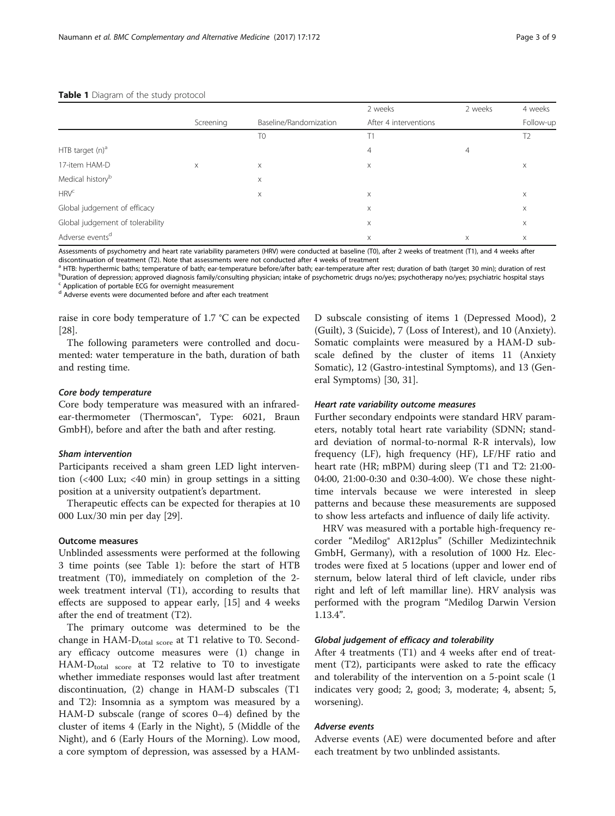| 4 weeks<br>Follow-up |  |
|----------------------|--|
|                      |  |
|                      |  |
| X                    |  |
|                      |  |
| Χ                    |  |
| X                    |  |
| X                    |  |
| Χ                    |  |
|                      |  |

#### <span id="page-2-0"></span>Table 1 Diagram of the study protocol

Assessments of psychometry and heart rate variability parameters (HRV) were conducted at baseline (T0), after 2 weeks of treatment (T1), and 4 weeks after discontinuation of treatment (T2). Note that assessments were not conducted after 4 weeks of treatment

<sup>a</sup> HTB: hyperthermic baths; temperature of bath; ear-temperature before/after bath; ear-temperature after rest; duration of bath (target 30 min); duration of rest b<br>Duration of depression; approved diagnosis family/consulting physician; intake of psychometric drugs no/yes; psychotherapy no/yes; psychiatric hospital stays

Application of portable ECG for overnight measurement

<sup>d</sup> Adverse events were documented before and after each treatment

raise in core body temperature of 1.7 °C can be expected [[28\]](#page-8-0).

The following parameters were controlled and documented: water temperature in the bath, duration of bath and resting time.

#### Core body temperature

Core body temperature was measured with an infraredear-thermometer (Thermoscan®, Type: 6021, Braun GmbH), before and after the bath and after resting.

#### Sham intervention

Participants received a sham green LED light intervention (<400 Lux; <40 min) in group settings in a sitting position at a university outpatient's department.

Therapeutic effects can be expected for therapies at 10 000 Lux/30 min per day [[29\]](#page-8-0).

#### Outcome measures

Unblinded assessments were performed at the following 3 time points (see Table 1): before the start of HTB treatment (T0), immediately on completion of the 2 week treatment interval (T1), according to results that effects are supposed to appear early, [[15\]](#page-7-0) and 4 weeks after the end of treatment (T2).

The primary outcome was determined to be the change in HAM- $D_{total\ score}$  at T1 relative to T0. Secondary efficacy outcome measures were (1) change in  $HAM-D<sub>total score</sub>$  at T2 relative to T0 to investigate whether immediate responses would last after treatment discontinuation, (2) change in HAM-D subscales (T1 and T2): Insomnia as a symptom was measured by a HAM-D subscale (range of scores 0–4) defined by the cluster of items 4 (Early in the Night), 5 (Middle of the Night), and 6 (Early Hours of the Morning). Low mood, a core symptom of depression, was assessed by a HAM- D subscale consisting of items 1 (Depressed Mood), 2 (Guilt), 3 (Suicide), 7 (Loss of Interest), and 10 (Anxiety). Somatic complaints were measured by a HAM-D subscale defined by the cluster of items 11 (Anxiety Somatic), 12 (Gastro-intestinal Symptoms), and 13 (General Symptoms) [\[30, 31\]](#page-8-0).

#### Heart rate variability outcome measures

Further secondary endpoints were standard HRV parameters, notably total heart rate variability (SDNN; standard deviation of normal-to-normal R-R intervals), low frequency (LF), high frequency (HF), LF/HF ratio and heart rate (HR; mBPM) during sleep (T1 and T2: 21:00- 04:00, 21:00-0:30 and 0:30-4:00). We chose these nighttime intervals because we were interested in sleep patterns and because these measurements are supposed to show less artefacts and influence of daily life activity.

HRV was measured with a portable high-frequency recorder "Medilog® AR12plus" (Schiller Medizintechnik GmbH, Germany), with a resolution of 1000 Hz. Electrodes were fixed at 5 locations (upper and lower end of sternum, below lateral third of left clavicle, under ribs right and left of left mamillar line). HRV analysis was performed with the program "Medilog Darwin Version 1.13.4".

#### Global judgement of efficacy and tolerability

After 4 treatments (T1) and 4 weeks after end of treatment (T2), participants were asked to rate the efficacy and tolerability of the intervention on a 5-point scale (1 indicates very good; 2, good; 3, moderate; 4, absent; 5, worsening).

#### Adverse events

Adverse events (AE) were documented before and after each treatment by two unblinded assistants.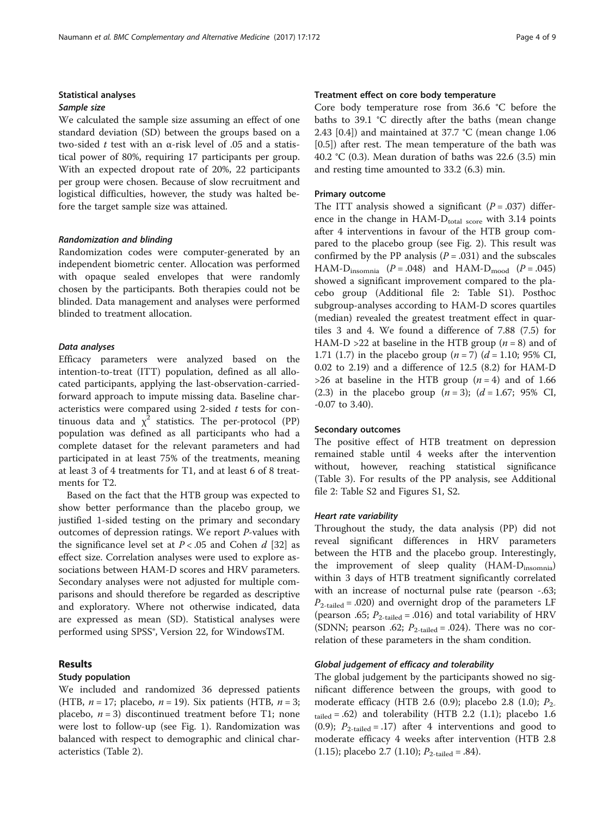#### Sample size

We calculated the sample size assuming an effect of one standard deviation (SD) between the groups based on a two-sided t test with an α-risk level of .05 and a statistical power of 80%, requiring 17 participants per group. With an expected dropout rate of 20%, 22 participants per group were chosen. Because of slow recruitment and logistical difficulties, however, the study was halted before the target sample size was attained.

#### Randomization and blinding

Randomization codes were computer-generated by an independent biometric center. Allocation was performed with opaque sealed envelopes that were randomly chosen by the participants. Both therapies could not be blinded. Data management and analyses were performed blinded to treatment allocation.

#### Data analyses

Efficacy parameters were analyzed based on the intention-to-treat (ITT) population, defined as all allocated participants, applying the last-observation-carriedforward approach to impute missing data. Baseline characteristics were compared using 2-sided  $t$  tests for continuous data and  $\chi^2$  statistics. The per-protocol (PP) population was defined as all participants who had a complete dataset for the relevant parameters and had participated in at least 75% of the treatments, meaning at least 3 of 4 treatments for T1, and at least 6 of 8 treatments for T2.

Based on the fact that the HTB group was expected to show better performance than the placebo group, we justified 1-sided testing on the primary and secondary outcomes of depression ratings. We report P-values with the significance level set at  $P < .05$  and Cohen d [\[32](#page-8-0)] as effect size. Correlation analyses were used to explore associations between HAM-D scores and HRV parameters. Secondary analyses were not adjusted for multiple comparisons and should therefore be regarded as descriptive and exploratory. Where not otherwise indicated, data are expressed as mean (SD). Statistical analyses were performed using SPSS®, Version 22, for WindowsTM.

#### Results

#### Study population

We included and randomized 36 depressed patients (HTB,  $n = 17$ ; placebo,  $n = 19$ ). Six patients (HTB,  $n = 3$ ; placebo,  $n = 3$ ) discontinued treatment before T1; none were lost to follow-up (see Fig. [1](#page-4-0)). Randomization was balanced with respect to demographic and clinical characteristics (Table [2](#page-4-0)).

Treatment effect on core body temperature

Core body temperature rose from 36.6 °C before the baths to 39.1 °C directly after the baths (mean change 2.43 [0.4]) and maintained at 37.7 °C (mean change 1.06 [0.5]) after rest. The mean temperature of the bath was 40.2 °C (0.3). Mean duration of baths was 22.6 (3.5) min and resting time amounted to 33.2 (6.3) min.

#### Primary outcome

The ITT analysis showed a significant  $(P = .037)$  difference in the change in  $HAM-D_{total\ score}$  with 3.14 points after 4 interventions in favour of the HTB group compared to the placebo group (see Fig. [2\)](#page-5-0). This result was confirmed by the PP analysis  $(P=.031)$  and the subscales HAM- $D_{\text{insomnia}}$  ( $P = .048$ ) and HAM- $D_{\text{mod}}$  ( $P = .045$ ) showed a significant improvement compared to the placebo group (Additional file [2:](#page-7-0) Table S1). Posthoc subgroup-analyses according to HAM-D scores quartiles (median) revealed the greatest treatment effect in quartiles 3 and 4. We found a difference of 7.88 (7.5) for HAM-D >22 at baseline in the HTB group ( $n = 8$ ) and of 1.71 (1.7) in the placebo group  $(n = 7)$   $(d = 1.10; 95\% \text{ CI},$ 0.02 to 2.19) and a difference of 12.5 (8.2) for HAM-D  $>26$  at baseline in the HTB group ( $n = 4$ ) and of 1.66 (2.3) in the placebo group  $(n = 3)$ ;  $(d = 1.67; 95\% \text{ CI}$ , -0.07 to 3.40).

#### Secondary outcomes

The positive effect of HTB treatment on depression remained stable until 4 weeks after the intervention without, however, reaching statistical significance (Table [3\)](#page-5-0). For results of the PP analysis, see Additional file [2:](#page-7-0) Table S2 and Figures S1, S2.

#### Heart rate variability

Throughout the study, the data analysis (PP) did not reveal significant differences in HRV parameters between the HTB and the placebo group. Interestingly, the improvement of sleep quality (HAM-D<sub>insomnia</sub>) within 3 days of HTB treatment significantly correlated with an increase of nocturnal pulse rate (pearson -.63;  $P_{2\text{-tailed}} = .020$ ) and overnight drop of the parameters LF (pearson .65;  $P_{2\text{-tailed}} = .016$ ) and total variability of HRV (SDNN; pearson .62;  $P_{2\text{-tailed}} = .024$ ). There was no correlation of these parameters in the sham condition.

#### Global judgement of efficacy and tolerability

The global judgement by the participants showed no significant difference between the groups, with good to moderate efficacy (HTB 2.6 (0.9); placebo 2.8 (1.0);  $P_2$ .  $_{\text{tailed}} = .62$ ) and tolerability (HTB 2.2 (1.1); placebo 1.6 (0.9);  $P_{2\text{-tailed}} = .17$ ) after 4 interventions and good to moderate efficacy 4 weeks after intervention (HTB 2.8 (1.15); placebo 2.7 (1.10);  $P_{2\text{-tailed}} = .84$ ).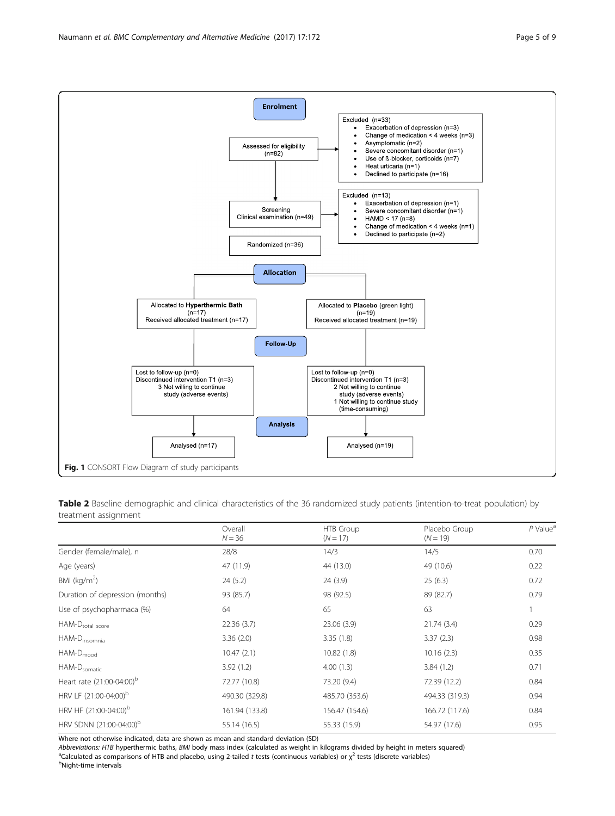Table 2 Baseline demographic and clinical characteristics of the 36 randomized study patients (intention-to-treat population) by treatment assignment

|                                       | Overall<br>$N = 36$ | HTB Group<br>$(N = 17)$ | Placebo Group<br>$(N = 19)$ | $P$ Value <sup>a</sup> |
|---------------------------------------|---------------------|-------------------------|-----------------------------|------------------------|
| Gender (female/male), n               | 28/8                | 14/3                    | 14/5                        | 0.70                   |
| Age (years)                           | 47 (11.9)           | 44 (13.0)               | 49 (10.6)                   | 0.22                   |
| BMI ( $kg/m2$ )                       | 24(5.2)             | 24(3.9)                 | 25(6.3)                     | 0.72                   |
| Duration of depression (months)       | 93 (85.7)           | 98 (92.5)               | 89 (82.7)                   | 0.79                   |
| Use of psychopharmaca (%)             | 64                  | 65                      | 63                          |                        |
| HAM-Dtotal score                      | 22.36(3.7)          | 23.06(3.9)              | 21.74(3.4)                  | 0.29                   |
| HAM-D <sub>insomnia</sub>             | 3.36(2.0)           | 3.35(1.8)               | 3.37(2.3)                   | 0.98                   |
| HAM-D <sub>mood</sub>                 | 10.47(2.1)          | 10.82(1.8)              | 10.16(2.3)                  | 0.35                   |
| HAM-D <sub>somatic</sub>              | 3.92(1.2)           | 4.00(1.3)               | 3.84(1.2)                   | 0.71                   |
| Heart rate (21:00-04:00) <sup>b</sup> | 72.77 (10.8)        | 73.20 (9.4)             | 72.39 (12.2)                | 0.84                   |
| HRV LF (21:00-04:00) <sup>b</sup>     | 490.30 (329.8)      | 485.70 (353.6)          | 494.33 (319.3)              | 0.94                   |
| HRV HF (21:00-04:00) <sup>b</sup>     | 161.94 (133.8)      | 156.47 (154.6)          | 166.72 (117.6)              | 0.84                   |
| HRV SDNN (21:00-04:00) <sup>b</sup>   | 55.14 (16.5)        | 55.33 (15.9)            | 54.97 (17.6)                | 0.95                   |

Where not otherwise indicated, data are shown as mean and standard deviation (SD)

Abbreviations: HTB hyperthermic baths, BMI body mass index (calculated as weight in kilograms divided by height in meters squared) <sup>a</sup>Calculated as comparisons of HTB and placebo, using 2-tailed t tests (continuous variables) or  $\chi^2$  tests (discrete variables)

<span id="page-4-0"></span>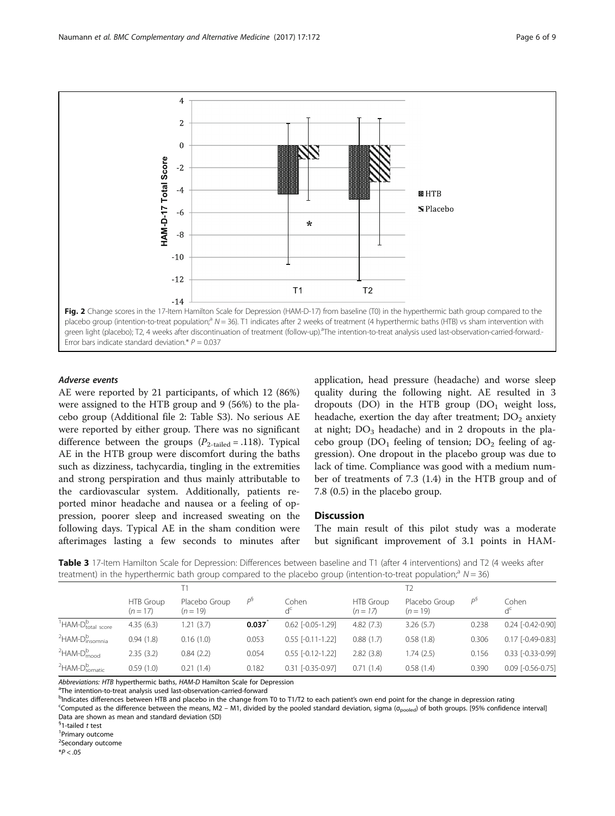<span id="page-5-0"></span>

#### Adverse events

AE were reported by 21 participants, of which 12 (86%) were assigned to the HTB group and 9 (56%) to the placebo group (Additional file [2](#page-7-0): Table S3). No serious AE were reported by either group. There was no significant difference between the groups  $(P_{2-tailed} = .118)$ . Typical AE in the HTB group were discomfort during the baths such as dizziness, tachycardia, tingling in the extremities and strong perspiration and thus mainly attributable to the cardiovascular system. Additionally, patients reported minor headache and nausea or a feeling of oppression, poorer sleep and increased sweating on the following days. Typical AE in the sham condition were afterimages lasting a few seconds to minutes after

application, head pressure (headache) and worse sleep quality during the following night. AE resulted in 3 dropouts (DO) in the HTB group  $(DO<sub>1</sub>$  weight loss, headache, exertion the day after treatment;  $DO<sub>2</sub>$  anxiety at night;  $DO<sub>3</sub>$  headache) and in 2 dropouts in the placebo group  $(DO_1)$  feeling of tension;  $DO_2$  feeling of aggression). One dropout in the placebo group was due to lack of time. Compliance was good with a medium number of treatments of 7.3 (1.4) in the HTB group and of 7.8 (0.5) in the placebo group.

#### **Discussion**

The main result of this pilot study was a moderate but significant improvement of 3.1 points in HAM-

Table 3 17-Item Hamilton Scale for Depression: Differences between baseline and T1 (after 4 interventions) and T2 (4 weeks after treatment) in the hyperthermic bath group compared to the placebo group (intention-to-treat population;<sup>a</sup>  $N = 36$ )

| denoted the information of the company to the place of the process to the control to the population in the sof |                                |                             |       |                         |                         |                             |       |                     |  |  |
|----------------------------------------------------------------------------------------------------------------|--------------------------------|-----------------------------|-------|-------------------------|-------------------------|-----------------------------|-------|---------------------|--|--|
|                                                                                                                |                                |                             |       |                         |                         |                             |       |                     |  |  |
|                                                                                                                | <b>HTB</b> Group<br>$(n = 17)$ | Placebo Group<br>$(n = 19)$ | DЭ    | Cohen<br>$d^c$          | HTB Group<br>$(n = 17)$ | Placebo Group<br>$(n = 19)$ | $P^3$ | Cohen<br>$d_c$      |  |  |
| <sup>1</sup> HAM-D <sub>total</sub> score                                                                      | 4.35(6.3)                      | 1.21(3.7)                   | 0.037 | $0.62$ $[-0.05 - 1.29]$ | 4.82(7.3)               | 3.26(5.7)                   | 0.238 | $0.24$ [-0.42-0.90] |  |  |
| <sup>2</sup> HAM-D <sub>insomnia</sub>                                                                         | 0.94(1.8)                      | 0.16(1.0)                   | 0.053 | $0.55$ $[-0.11 - 1.22]$ | 0.88(1.7)               | 0.58(1.8)                   | 0.306 | $0.17$ [-0.49-0.83] |  |  |
| $2$ HAM- $D_{\text{mod}}^{\text{b}}$                                                                           | 2.35(3.2)                      | 0.84(2.2)                   | 0.054 | $0.55$ $[-0.12 - 1.22]$ | 2.82(3.8)               | 1.74 (2.5)                  | 0.156 | 0.33 [-0.33-0.99]   |  |  |
| <sup>2</sup> HAM-D <sub>somatic</sub>                                                                          | 0.59(1.0)                      | 0.21(1.4)                   | 0.182 | $0.31$ [-0.35-0.97]     | 0.71(1.4)               | 0.58(1.4)                   | 0.390 | 0.09 [-0.56-0.75]   |  |  |

Abbreviations: HTB hyperthermic baths, HAM-D Hamilton Scale for Depression

<sup>a</sup>The intention-to-treat analysis used last-observation-carried-forward

b<sub>Indicates</sub> differences between HTB and placebo in the change from T0 to T1/T2 to each patient's own end point for the change in depression rating confident and place to the difference between the means. M2 and divided by

Computed as the difference between the means, M2 – M1, divided by the pooled standard deviation, sigma ( $\sigma_{pooled}$ ) of both groups. [95% confidence interval] Data are shown as mean and standard deviation (SD)

<sup>§</sup>1-tailed *t* test<br><sup>1</sup> Primant outce

<sup>1</sup>Primary outcome

<sup>2</sup>Secondary outcome

 $*P < .05$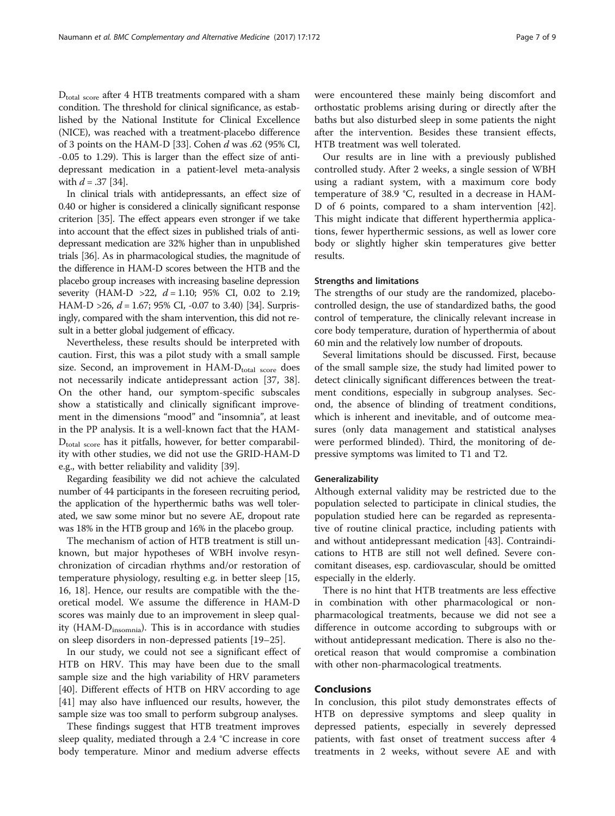D<sub>total score</sub> after 4 HTB treatments compared with a sham condition. The threshold for clinical significance, as established by the National Institute for Clinical Excellence (NICE), was reached with a treatment-placebo difference of 3 points on the HAM-D [\[33\]](#page-8-0). Cohen d was .62 (95% CI, -0.05 to 1.29). This is larger than the effect size of antidepressant medication in a patient-level meta-analysis with  $d = .37$  [\[34\]](#page-8-0).

In clinical trials with antidepressants, an effect size of 0.40 or higher is considered a clinically significant response criterion [[35](#page-8-0)]. The effect appears even stronger if we take into account that the effect sizes in published trials of antidepressant medication are 32% higher than in unpublished trials [[36](#page-8-0)]. As in pharmacological studies, the magnitude of the difference in HAM-D scores between the HTB and the placebo group increases with increasing baseline depression severity (HAM-D >22,  $d = 1.10$ ; 95% CI, 0.02 to 2.19; HAM-D > 26,  $d = 1.67$ ; 95% CI, -0.07 to 3.40) [\[34\]](#page-8-0). Surprisingly, compared with the sham intervention, this did not result in a better global judgement of efficacy.

Nevertheless, these results should be interpreted with caution. First, this was a pilot study with a small sample size. Second, an improvement in  $HAM-D_{total}}$  score does not necessarily indicate antidepressant action [\[37](#page-8-0), [38](#page-8-0)]. On the other hand, our symptom-specific subscales show a statistically and clinically significant improvement in the dimensions "mood" and "insomnia", at least in the PP analysis. It is a well-known fact that the HAM- $D_{total\ score}$  has it pitfalls, however, for better comparability with other studies, we did not use the GRID-HAM-D e.g., with better reliability and validity [\[39\]](#page-8-0).

Regarding feasibility we did not achieve the calculated number of 44 participants in the foreseen recruiting period, the application of the hyperthermic baths was well tolerated, we saw some minor but no severe AE, dropout rate was 18% in the HTB group and 16% in the placebo group.

The mechanism of action of HTB treatment is still unknown, but major hypotheses of WBH involve resynchronization of circadian rhythms and/or restoration of temperature physiology, resulting e.g. in better sleep [[15](#page-7-0), [16, 18](#page-7-0)]. Hence, our results are compatible with the theoretical model. We assume the difference in HAM-D scores was mainly due to an improvement in sleep quality (HAM- $D_{insomni}$ ). This is in accordance with studies on sleep disorders in non-depressed patients [[19](#page-8-0)–[25](#page-8-0)].

In our study, we could not see a significant effect of HTB on HRV. This may have been due to the small sample size and the high variability of HRV parameters [[40\]](#page-8-0). Different effects of HTB on HRV according to age [[41\]](#page-8-0) may also have influenced our results, however, the sample size was too small to perform subgroup analyses.

These findings suggest that HTB treatment improves sleep quality, mediated through a 2.4 °C increase in core body temperature. Minor and medium adverse effects

were encountered these mainly being discomfort and orthostatic problems arising during or directly after the baths but also disturbed sleep in some patients the night after the intervention. Besides these transient effects, HTB treatment was well tolerated.

Our results are in line with a previously published controlled study. After 2 weeks, a single session of WBH using a radiant system, with a maximum core body temperature of 38.9 °C, resulted in a decrease in HAM-D of 6 points, compared to a sham intervention [\[42](#page-8-0)]. This might indicate that different hyperthermia applications, fewer hyperthermic sessions, as well as lower core body or slightly higher skin temperatures give better results.

#### Strengths and limitations

The strengths of our study are the randomized, placebocontrolled design, the use of standardized baths, the good control of temperature, the clinically relevant increase in core body temperature, duration of hyperthermia of about 60 min and the relatively low number of dropouts.

Several limitations should be discussed. First, because of the small sample size, the study had limited power to detect clinically significant differences between the treatment conditions, especially in subgroup analyses. Second, the absence of blinding of treatment conditions, which is inherent and inevitable, and of outcome measures (only data management and statistical analyses were performed blinded). Third, the monitoring of depressive symptoms was limited to T1 and T2.

#### Generalizability

Although external validity may be restricted due to the population selected to participate in clinical studies, the population studied here can be regarded as representative of routine clinical practice, including patients with and without antidepressant medication [\[43](#page-8-0)]. Contraindications to HTB are still not well defined. Severe concomitant diseases, esp. cardiovascular, should be omitted especially in the elderly.

There is no hint that HTB treatments are less effective in combination with other pharmacological or nonpharmacological treatments, because we did not see a difference in outcome according to subgroups with or without antidepressant medication. There is also no theoretical reason that would compromise a combination with other non-pharmacological treatments.

#### Conclusions

In conclusion, this pilot study demonstrates effects of HTB on depressive symptoms and sleep quality in depressed patients, especially in severely depressed patients, with fast onset of treatment success after 4 treatments in 2 weeks, without severe AE and with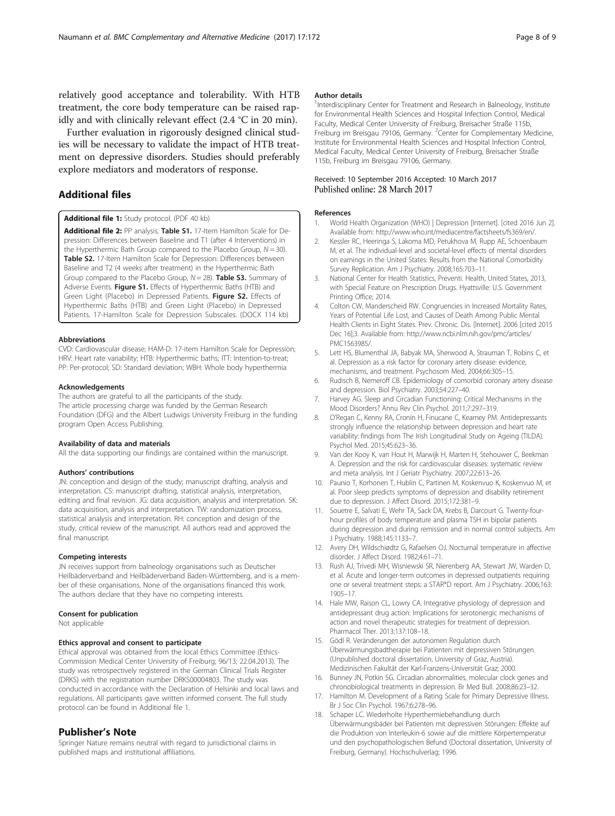<span id="page-7-0"></span>relatively good acceptance and tolerability. With HTB treatment, the core body temperature can be raised rapidly and with clinically relevant effect (2.4 °C in 20 min).

Further evaluation in rigorously designed clinical studies will be necessary to validate the impact of HTB treatment on depressive disorders. Studies should preferably explore mediators and moderators of response.

#### Additional files

[Additional file 1:](dx.doi.org/10.1186/s12906-017-1676-5) Study protocol. (PDF 40 kb)

[Additional file 2:](dx.doi.org/10.1186/s12906-017-1676-5) PP analysis. Table S1. 17-Item Hamilton Scale for Depression: Differences between Baseline and T1 (after 4 Interventions) in the Hyperthermic Bath Group compared to the Placebo Group,  $N = 30$ ). Table S2. 17-Item Hamilton Scale for Depression: Differences between Baseline and T2 (4 weeks after treatment) in the Hyperthermic Bath Group compared to the Placebo Group,  $N = 28$ ). Table S3. Summary of Adverse Events. Figure S1. Effects of Hyperthermic Baths (HTB) and Green Light (Placebo) in Depressed Patients. Figure S2. Effects of Hyperthermic Baths (HTB) and Green Light (Placebo) in Depressed Patients. 17-Hamilton Scale for Depression Subscales. (DOCX 114 kb)

#### Abbreviations

CVD: Cardiovascular disease; HAM-D: 17-item Hamilton Scale for Depression; HRV: Heart rate variability; HTB: Hyperthermic baths; ITT: Intention-to-treat; PP: Per-protocol; SD: Standard deviation; WBH: Whole body hyperthermia

#### Acknowledgements

The authors are grateful to all the participants of the study. The article processing charge was funded by the German Research Foundation (DFG) and the Albert Ludwigs University Freiburg in the funding program Open Access Publishing.

#### Availability of data and materials

All the data supporting our findings are contained within the manuscript.

#### Authors' contributions

JN: conception and design of the study; manuscript drafting, analysis and interpretation. CS: manuscript drafting, statistical analysis, interpretation, editing and final revision. JG: data acquisition, analysis and interpretation. SK: data acquisition, analysis and interpretation. TW: randomization process, statistical analysis and interpretation. RH: conception and design of the study, critical review of the manuscript. All authors read and approved the final manuscript.

#### Competing interests

JN receives support from balneology organisations such as Deutscher Heilbäderverband and Heilbäderverband Baden-Württemberg, and is a member of these organisations. None of the organisations financed this work. The authors declare that they have no competing interests.

#### Consent for publication

Not applicable

#### Ethics approval and consent to participate

Ethical approval was obtained from the local Ethics Committee (Ethics-Commission Medical Center University of Freiburg; 96/13; 22.04.2013). The study was retrospectively registered in the German Clinical Trials Register (DRKS) with the registration number DRKS00004803. The study was conducted in accordance with the Declaration of Helsinki and local laws and regulations. All participants gave written informed consent. The full study protocol can be found in Additional file 1.

#### Publisher's Note

Springer Nature remains neutral with regard to jurisdictional claims in published maps and institutional affiliations.

#### Author details

<sup>1</sup>Interdisciplinary Center for Treatment and Research in Balneology, Institute for Environmental Health Sciences and Hospital Infection Control, Medical Faculty, Medical Center University of Freiburg, Breisacher Straße 115b, Freiburg im Breisgau 79106, Germany. <sup>2</sup>Center for Complementary Medicine Institute for Environmental Health Sciences and Hospital Infection Control, Medical Faculty, Medical Center University of Freiburg, Breisacher Straße 115b, Freiburg im Breisgau 79106, Germany.

#### Received: 10 September 2016 Accepted: 10 March 2017 Published online: 28 March 2017

#### References

- World Health Organization (WHO) | Depression [Internet]. [cited 2016 Jun 2]. Available from: [http://www.who.int/mediacentre/factsheets/fs369/en/.](http://www.who.int/mediacentre/factsheets/fs369/en/)
- 2. Kessler RC, Heeringa S, Lakoma MD, Petukhova M, Rupp AE, Schoenbaum M, et al. The individual-level and societal-level effects of mental disorders on earnings in the United States: Results from the National Comorbidity Survey Replication. Am J Psychiatry. 2008;165:703–11.
- 3. National Center for Health Statistics, Preventi. Health, United States, 2013, with Special Feature on Prescription Drugs. Hyattsville: U.S. Government Printing Office; 2014.
- 4. Colton CW, Manderscheid RW. Congruencies in Increased Mortality Rates, Years of Potential Life Lost, and Causes of Death Among Public Menta Health Clients in Eight States. Prev. Chronic. Dis. [Internet]. 2006 [cited 2015 Dec 16];3. Available from: [http://www.ncbi.nlm.nih.gov/pmc/articles/](http://www.ncbi.nlm.nih.gov/pmc/articles/PMC1563985/) [PMC1563985/](http://www.ncbi.nlm.nih.gov/pmc/articles/PMC1563985/).
- 5. Lett HS, Blumenthal JA, Babyak MA, Sherwood A, Strauman T, Robins C, et al. Depression as a risk factor for coronary artery disease: evidence, mechanisms, and treatment. Psychosom Med. 2004;66:305–15.
- 6. Rudisch B, Nemeroff CB. Epidemiology of comorbid coronary artery disease and depression. Biol Psychiatry. 2003;54:227–40.
- 7. Harvey AG. Sleep and Circadian Functioning: Critical Mechanisms in the Mood Disorders? Annu Rev Clin Psychol. 2011;7:297–319.
- 8. O'Regan C, Kenny RA, Cronin H, Finucane C, Kearney PM. Antidepressants strongly influence the relationship between depression and heart rate variability: findings from The Irish Longitudinal Study on Ageing (TILDA). Psychol Med. 2015;45:623–36.
- Van der Kooy K, van Hout H, Marwijk H, Marten H, Stehouwer C, Beekman A. Depression and the risk for cardiovascular diseases: systematic review and meta analysis. Int J Geriatr Psychiatry. 2007;22:613–26.
- 10. Paunio T, Korhonen T, Hublin C, Partinen M, Koskenvuo K, Koskenvuo M, et al. Poor sleep predicts symptoms of depression and disability retirement due to depression. J Affect Disord. 2015;172:381–9.
- 11. Souetre E, Salvati E, Wehr TA, Sack DA, Krebs B, Darcourt G. Twenty-fourhour profiles of body temperature and plasma TSH in bipolar patients during depression and during remission and in normal control subjects. Am J Psychiatry. 1988;145:1133–7.
- 12. Avery DH, Wildschiødtz G, Rafaelsen OJ. Nocturnal temperature in affective disorder. J Affect Disord. 1982;4:61–71.
- 13. Rush AJ, Trivedi MH, Wisniewski SR, Nierenberg AA, Stewart JW, Warden D, et al. Acute and longer-term outcomes in depressed outpatients requiring one or several treatment steps: a STAR\*D report. Am J Psychiatry. 2006;163: 1905–17.
- 14. Hale MW, Raison CL, Lowry CA. Integrative physiology of depression and antidepressant drug action: Implications for serotonergic mechanisms of action and novel therapeutic strategies for treatment of depression. Pharmacol Ther. 2013;137:108–18.
- 15. Gödl R. Veränderungen der autonomen Regulation durch Überwärmungsbadtherapie bei Patienten mit depressiven Störungen. (Unpublished doctoral dissertation, University of Graz, Austria). Medizinischen Fakultät der Karl-Franzens-Universität Graz; 2000.
- 16. Bunney JN, Potkin SG. Circadian abnormalities, molecular clock genes and chronobiological treatments in depression. Br Med Bull. 2008;86:23–32.
- 17. Hamilton M. Development of a Rating Scale for Primary Depressive Illness. Br J Soc Clin Psychol. 1967;6:278–96.
- 18. Schaper LC. Wiederholte Hyperthermiebehandlung durch Überwärmungsbäder bei Patienten mit depressiven Störungen: Effekte auf die Produktion von Interleukin-6 sowie auf die mittlere Körpertemperatur und den psychopathologischen Befund (Doctoral dissertation, University of Freiburg, Germany). Hochschulverlag; 1996.